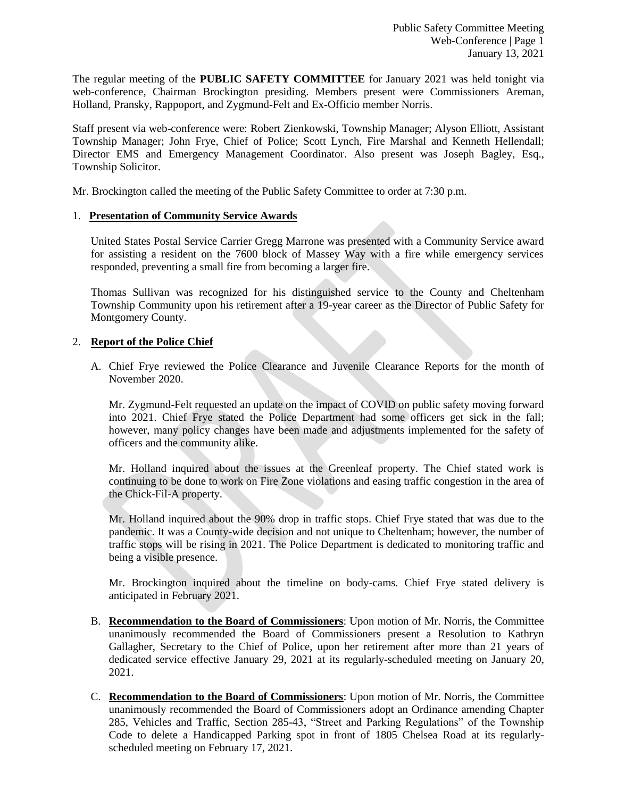The regular meeting of the **PUBLIC SAFETY COMMITTEE** for January 2021 was held tonight via web-conference, Chairman Brockington presiding. Members present were Commissioners Areman, Holland, Pransky, Rappoport, and Zygmund-Felt and Ex-Officio member Norris.

Staff present via web-conference were: Robert Zienkowski, Township Manager; Alyson Elliott, Assistant Township Manager; John Frye, Chief of Police; Scott Lynch, Fire Marshal and Kenneth Hellendall; Director EMS and Emergency Management Coordinator. Also present was Joseph Bagley, Esq., Township Solicitor.

Mr. Brockington called the meeting of the Public Safety Committee to order at 7:30 p.m.

### 1. **Presentation of Community Service Awards**

United States Postal Service Carrier Gregg Marrone was presented with a Community Service award for assisting a resident on the 7600 block of Massey Way with a fire while emergency services responded, preventing a small fire from becoming a larger fire.

Thomas Sullivan was recognized for his distinguished service to the County and Cheltenham Township Community upon his retirement after a 19-year career as the Director of Public Safety for Montgomery County.

### 2. **Report of the Police Chief**

A. Chief Frye reviewed the Police Clearance and Juvenile Clearance Reports for the month of November 2020.

Mr. Zygmund-Felt requested an update on the impact of COVID on public safety moving forward into 2021. Chief Frye stated the Police Department had some officers get sick in the fall; however, many policy changes have been made and adjustments implemented for the safety of officers and the community alike.

Mr. Holland inquired about the issues at the Greenleaf property. The Chief stated work is continuing to be done to work on Fire Zone violations and easing traffic congestion in the area of the Chick-Fil-A property.

Mr. Holland inquired about the 90% drop in traffic stops. Chief Frye stated that was due to the pandemic. It was a County-wide decision and not unique to Cheltenham; however, the number of traffic stops will be rising in 2021. The Police Department is dedicated to monitoring traffic and being a visible presence.

Mr. Brockington inquired about the timeline on body-cams. Chief Frye stated delivery is anticipated in February 2021.

- B. **Recommendation to the Board of Commissioners**: Upon motion of Mr. Norris, the Committee unanimously recommended the Board of Commissioners present a Resolution to Kathryn Gallagher, Secretary to the Chief of Police, upon her retirement after more than 21 years of dedicated service effective January 29, 2021 at its regularly-scheduled meeting on January 20, 2021.
- C. **Recommendation to the Board of Commissioners**: Upon motion of Mr. Norris, the Committee unanimously recommended the Board of Commissioners adopt an Ordinance amending Chapter 285, Vehicles and Traffic, Section 285-43, "Street and Parking Regulations" of the Township Code to delete a Handicapped Parking spot in front of 1805 Chelsea Road at its regularlyscheduled meeting on February 17, 2021.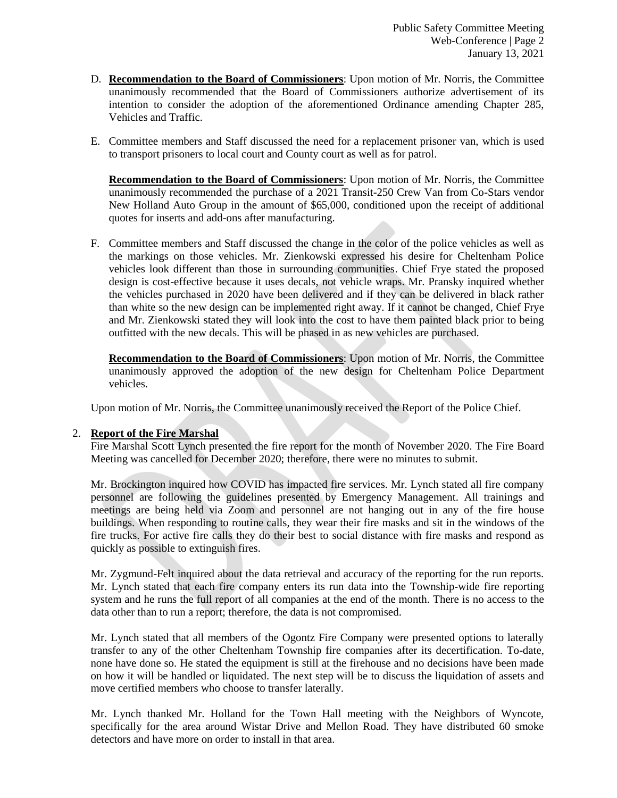- D. **Recommendation to the Board of Commissioners**: Upon motion of Mr. Norris, the Committee unanimously recommended that the Board of Commissioners authorize advertisement of its intention to consider the adoption of the aforementioned Ordinance amending Chapter 285, Vehicles and Traffic.
- E. Committee members and Staff discussed the need for a replacement prisoner van, which is used to transport prisoners to local court and County court as well as for patrol.

**Recommendation to the Board of Commissioners**: Upon motion of Mr. Norris, the Committee unanimously recommended the purchase of a 2021 Transit-250 Crew Van from Co-Stars vendor New Holland Auto Group in the amount of \$65,000, conditioned upon the receipt of additional quotes for inserts and add-ons after manufacturing.

F. Committee members and Staff discussed the change in the color of the police vehicles as well as the markings on those vehicles. Mr. Zienkowski expressed his desire for Cheltenham Police vehicles look different than those in surrounding communities. Chief Frye stated the proposed design is cost-effective because it uses decals, not vehicle wraps. Mr. Pransky inquired whether the vehicles purchased in 2020 have been delivered and if they can be delivered in black rather than white so the new design can be implemented right away. If it cannot be changed, Chief Frye and Mr. Zienkowski stated they will look into the cost to have them painted black prior to being outfitted with the new decals. This will be phased in as new vehicles are purchased.

**Recommendation to the Board of Commissioners**: Upon motion of Mr. Norris, the Committee unanimously approved the adoption of the new design for Cheltenham Police Department vehicles.

Upon motion of Mr. Norris, the Committee unanimously received the Report of the Police Chief.

### 2. **Report of the Fire Marshal**

Fire Marshal Scott Lynch presented the fire report for the month of November 2020. The Fire Board Meeting was cancelled for December 2020; therefore, there were no minutes to submit.

Mr. Brockington inquired how COVID has impacted fire services. Mr. Lynch stated all fire company personnel are following the guidelines presented by Emergency Management. All trainings and meetings are being held via Zoom and personnel are not hanging out in any of the fire house buildings. When responding to routine calls, they wear their fire masks and sit in the windows of the fire trucks. For active fire calls they do their best to social distance with fire masks and respond as quickly as possible to extinguish fires.

Mr. Zygmund-Felt inquired about the data retrieval and accuracy of the reporting for the run reports. Mr. Lynch stated that each fire company enters its run data into the Township-wide fire reporting system and he runs the full report of all companies at the end of the month. There is no access to the data other than to run a report; therefore, the data is not compromised.

Mr. Lynch stated that all members of the Ogontz Fire Company were presented options to laterally transfer to any of the other Cheltenham Township fire companies after its decertification. To-date, none have done so. He stated the equipment is still at the firehouse and no decisions have been made on how it will be handled or liquidated. The next step will be to discuss the liquidation of assets and move certified members who choose to transfer laterally.

Mr. Lynch thanked Mr. Holland for the Town Hall meeting with the Neighbors of Wyncote, specifically for the area around Wistar Drive and Mellon Road. They have distributed 60 smoke detectors and have more on order to install in that area.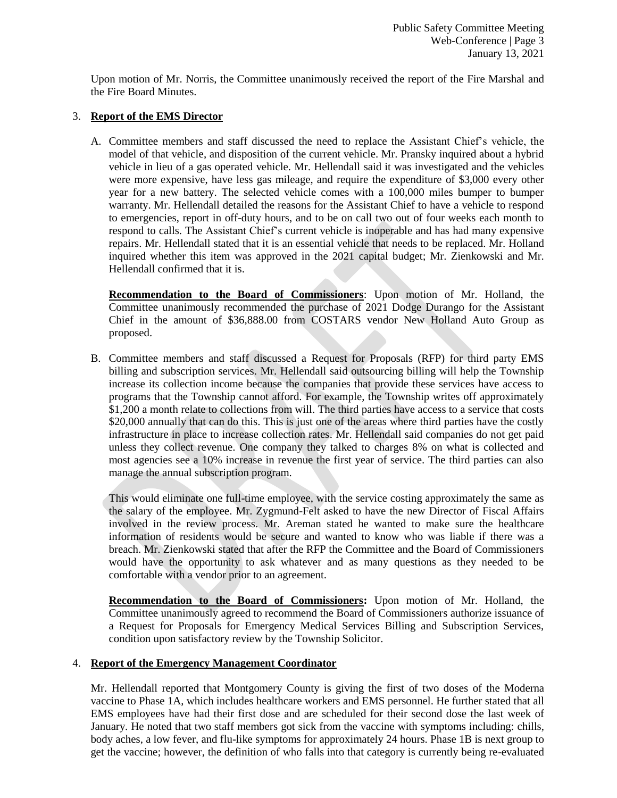Upon motion of Mr. Norris, the Committee unanimously received the report of the Fire Marshal and the Fire Board Minutes.

## 3. **Report of the EMS Director**

A. Committee members and staff discussed the need to replace the Assistant Chief's vehicle, the model of that vehicle, and disposition of the current vehicle. Mr. Pransky inquired about a hybrid vehicle in lieu of a gas operated vehicle. Mr. Hellendall said it was investigated and the vehicles were more expensive, have less gas mileage, and require the expenditure of \$3,000 every other year for a new battery. The selected vehicle comes with a 100,000 miles bumper to bumper warranty. Mr. Hellendall detailed the reasons for the Assistant Chief to have a vehicle to respond to emergencies, report in off-duty hours, and to be on call two out of four weeks each month to respond to calls. The Assistant Chief's current vehicle is inoperable and has had many expensive repairs. Mr. Hellendall stated that it is an essential vehicle that needs to be replaced. Mr. Holland inquired whether this item was approved in the 2021 capital budget; Mr. Zienkowski and Mr. Hellendall confirmed that it is.

**Recommendation to the Board of Commissioners**: Upon motion of Mr. Holland, the Committee unanimously recommended the purchase of 2021 Dodge Durango for the Assistant Chief in the amount of \$36,888.00 from COSTARS vendor New Holland Auto Group as proposed.

B. Committee members and staff discussed a Request for Proposals (RFP) for third party EMS billing and subscription services. Mr. Hellendall said outsourcing billing will help the Township increase its collection income because the companies that provide these services have access to programs that the Township cannot afford. For example, the Township writes off approximately \$1,200 a month relate to collections from will. The third parties have access to a service that costs \$20,000 annually that can do this. This is just one of the areas where third parties have the costly infrastructure in place to increase collection rates. Mr. Hellendall said companies do not get paid unless they collect revenue. One company they talked to charges 8% on what is collected and most agencies see a 10% increase in revenue the first year of service. The third parties can also manage the annual subscription program.

This would eliminate one full-time employee, with the service costing approximately the same as the salary of the employee. Mr. Zygmund-Felt asked to have the new Director of Fiscal Affairs involved in the review process. Mr. Areman stated he wanted to make sure the healthcare information of residents would be secure and wanted to know who was liable if there was a breach. Mr. Zienkowski stated that after the RFP the Committee and the Board of Commissioners would have the opportunity to ask whatever and as many questions as they needed to be comfortable with a vendor prior to an agreement.

**Recommendation to the Board of Commissioners:** Upon motion of Mr. Holland, the Committee unanimously agreed to recommend the Board of Commissioners authorize issuance of a Request for Proposals for Emergency Medical Services Billing and Subscription Services, condition upon satisfactory review by the Township Solicitor.

# 4. **Report of the Emergency Management Coordinator**

Mr. Hellendall reported that Montgomery County is giving the first of two doses of the Moderna vaccine to Phase 1A, which includes healthcare workers and EMS personnel. He further stated that all EMS employees have had their first dose and are scheduled for their second dose the last week of January. He noted that two staff members got sick from the vaccine with symptoms including: chills, body aches, a low fever, and flu-like symptoms for approximately 24 hours. Phase 1B is next group to get the vaccine; however, the definition of who falls into that category is currently being re-evaluated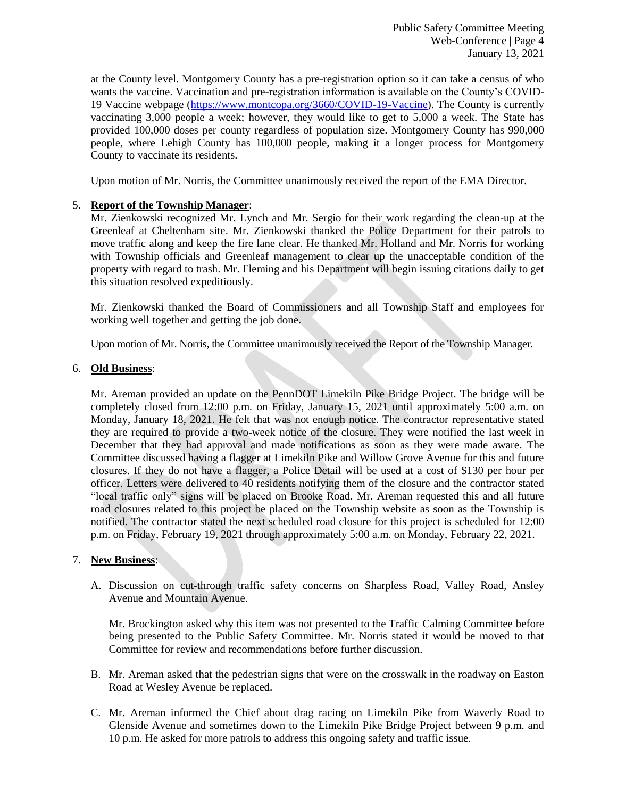Public Safety Committee Meeting Web-Conference | Page 4 January 13, 2021

at the County level. Montgomery County has a pre-registration option so it can take a census of who wants the vaccine. Vaccination and pre-registration information is available on the County's COVID-19 Vaccine webpage [\(https://www.montcopa.org/3660/COVID-19-Vaccine\)](https://www.montcopa.org/3660/COVID-19-Vaccine). The County is currently vaccinating 3,000 people a week; however, they would like to get to 5,000 a week. The State has provided 100,000 doses per county regardless of population size. Montgomery County has 990,000 people, where Lehigh County has 100,000 people, making it a longer process for Montgomery County to vaccinate its residents.

Upon motion of Mr. Norris, the Committee unanimously received the report of the EMA Director.

# 5. **Report of the Township Manager**:

Mr. Zienkowski recognized Mr. Lynch and Mr. Sergio for their work regarding the clean-up at the Greenleaf at Cheltenham site. Mr. Zienkowski thanked the Police Department for their patrols to move traffic along and keep the fire lane clear. He thanked Mr. Holland and Mr. Norris for working with Township officials and Greenleaf management to clear up the unacceptable condition of the property with regard to trash. Mr. Fleming and his Department will begin issuing citations daily to get this situation resolved expeditiously.

Mr. Zienkowski thanked the Board of Commissioners and all Township Staff and employees for working well together and getting the job done.

Upon motion of Mr. Norris, the Committee unanimously received the Report of the Township Manager.

### 6. **Old Business**:

Mr. Areman provided an update on the PennDOT Limekiln Pike Bridge Project. The bridge will be completely closed from 12:00 p.m. on Friday, January 15, 2021 until approximately 5:00 a.m. on Monday, January 18, 2021. He felt that was not enough notice. The contractor representative stated they are required to provide a two-week notice of the closure. They were notified the last week in December that they had approval and made notifications as soon as they were made aware. The Committee discussed having a flagger at Limekiln Pike and Willow Grove Avenue for this and future closures. If they do not have a flagger, a Police Detail will be used at a cost of \$130 per hour per officer. Letters were delivered to 40 residents notifying them of the closure and the contractor stated "local traffic only" signs will be placed on Brooke Road. Mr. Areman requested this and all future road closures related to this project be placed on the Township website as soon as the Township is notified. The contractor stated the next scheduled road closure for this project is scheduled for 12:00 p.m. on Friday, February 19, 2021 through approximately 5:00 a.m. on Monday, February 22, 2021.

### 7. **New Business**:

A. Discussion on cut-through traffic safety concerns on Sharpless Road, Valley Road, Ansley Avenue and Mountain Avenue.

Mr. Brockington asked why this item was not presented to the Traffic Calming Committee before being presented to the Public Safety Committee. Mr. Norris stated it would be moved to that Committee for review and recommendations before further discussion.

- B. Mr. Areman asked that the pedestrian signs that were on the crosswalk in the roadway on Easton Road at Wesley Avenue be replaced.
- C. Mr. Areman informed the Chief about drag racing on Limekiln Pike from Waverly Road to Glenside Avenue and sometimes down to the Limekiln Pike Bridge Project between 9 p.m. and 10 p.m. He asked for more patrols to address this ongoing safety and traffic issue.